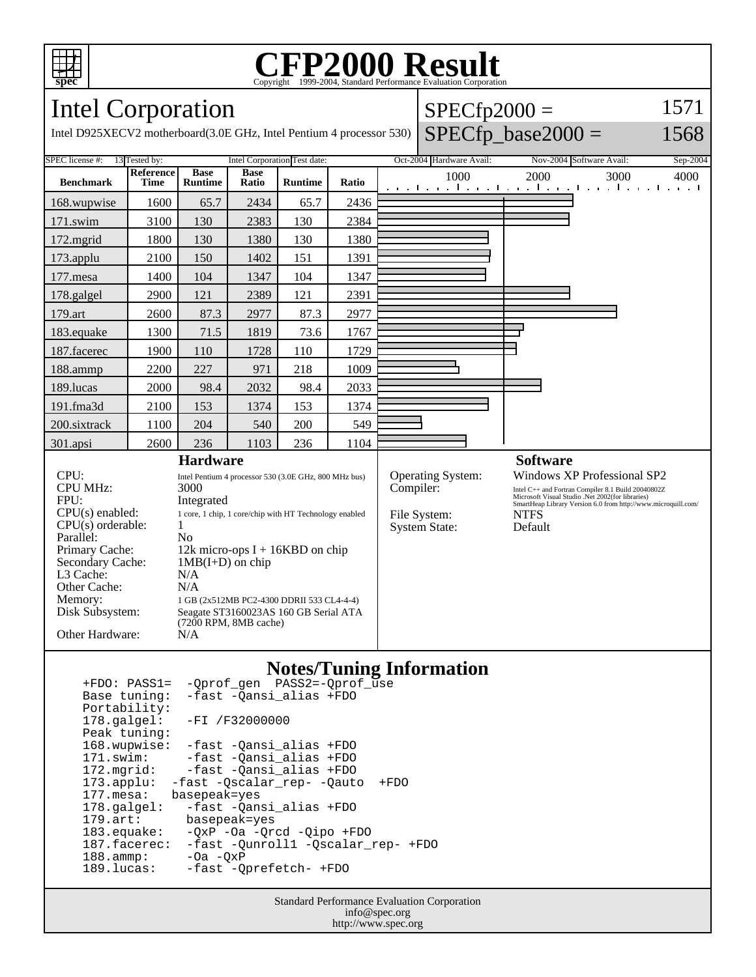

Parallel:<br>Primary Cache:

Other Cache:<br>Memory:

L3 Cache: N/A<br>Other Cache: N/A

Other Hardware: N/A

# Copyright ©1999-2004, Standard Performance Evaluation Corporation

## Intel Corporation

| Intel Corporation                                                              |                          |                                                                                                                                       |                      |                |       |                      | $SPECfp2000 =$                    |                                                                                                                                                                                                                       |          |
|--------------------------------------------------------------------------------|--------------------------|---------------------------------------------------------------------------------------------------------------------------------------|----------------------|----------------|-------|----------------------|-----------------------------------|-----------------------------------------------------------------------------------------------------------------------------------------------------------------------------------------------------------------------|----------|
| Intel D925XECV2 motherboard(3.0E GHz, Intel Pentium 4 processor 530)           |                          |                                                                                                                                       |                      |                |       |                      |                                   | $SPECfp\_base2000 =$                                                                                                                                                                                                  | 1568     |
| 13 Tested by:<br><b>Intel Corporation Test date:</b><br><b>SPEC</b> license #: |                          |                                                                                                                                       |                      |                |       |                      | Oct-2004 Hardware Avail:          | Nov-2004 Software Avail:                                                                                                                                                                                              | Sep-2004 |
| <b>Benchmark</b>                                                               | <b>Reference</b><br>Time | <b>Base</b><br><b>Runtime</b>                                                                                                         | <b>Base</b><br>Ratio | <b>Runtime</b> | Ratio |                      | 1000                              | 2000<br>3000<br>المتواصل والمتواطن والمتواطن والمواطن والمواطن                                                                                                                                                        | 4000     |
| 168.wupwise                                                                    | 1600                     | 65.7                                                                                                                                  | 2434                 | 65.7           | 2436  |                      |                                   |                                                                                                                                                                                                                       |          |
| $171$ .swim                                                                    | 3100                     | 130                                                                                                                                   | 2383                 | 130            | 2384  |                      |                                   |                                                                                                                                                                                                                       |          |
| 172.mgrid                                                                      | 1800                     | 130                                                                                                                                   | 1380                 | 130            | 1380  |                      |                                   |                                                                                                                                                                                                                       |          |
| $173$ .applu                                                                   | 2100                     | 150                                                                                                                                   | 1402                 | 151            | 1391  |                      |                                   |                                                                                                                                                                                                                       |          |
| $177$ .mesa                                                                    | 1400                     | 104                                                                                                                                   | 1347                 | 104            | 1347  |                      |                                   |                                                                                                                                                                                                                       |          |
| 178.galgel                                                                     | 2900                     | 121                                                                                                                                   | 2389                 | 121            | 2391  |                      |                                   |                                                                                                                                                                                                                       |          |
| 179.art                                                                        | 2600                     | 87.3                                                                                                                                  | 2977                 | 87.3           | 2977  |                      |                                   |                                                                                                                                                                                                                       |          |
| 183. equake                                                                    | 1300                     | 71.5                                                                                                                                  | 1819                 | 73.6           | 1767  |                      |                                   |                                                                                                                                                                                                                       |          |
| 187.facerec                                                                    | 1900                     | 110                                                                                                                                   | 1728                 | 110            | 1729  |                      |                                   |                                                                                                                                                                                                                       |          |
| 188.ammp                                                                       | 2200                     | 227                                                                                                                                   | 971                  | 218            | 1009  |                      |                                   |                                                                                                                                                                                                                       |          |
| 189.lucas                                                                      | 2000                     | 98.4                                                                                                                                  | 2032                 | 98.4           | 2033  |                      |                                   |                                                                                                                                                                                                                       |          |
| 191.fma3d                                                                      | 2100                     | 153                                                                                                                                   | 1374                 | 153            | 1374  |                      |                                   |                                                                                                                                                                                                                       |          |
| 200.sixtrack                                                                   | 1100                     | 204                                                                                                                                   | 540                  | 200            | 549   |                      |                                   |                                                                                                                                                                                                                       |          |
| $301$ .apsi                                                                    | 2600                     | 236                                                                                                                                   | 1103                 | 236            | 1104  |                      |                                   |                                                                                                                                                                                                                       |          |
| <b>Hardware</b>                                                                |                          |                                                                                                                                       |                      |                |       |                      |                                   | <b>Software</b>                                                                                                                                                                                                       |          |
| CPU:<br><b>CPU MHz:</b><br>FPU:<br>$CPU(s)$ enabled:                           |                          | Intel Pentium 4 processor 530 (3.0E GHz, 800 MHz bus)<br>3000<br>Integrated<br>1 core, 1 chip, 1 core/chip with HT Technology enabled |                      |                |       | Compiler:            | Operating System:<br>File System: | Windows XP Professional SP2<br>Intel C++ and Fortran Compiler 8.1 Build 20040802Z<br>Microsoft Visual Studio .Net 2002(for libraries)<br>SmartHeap Library Version 6.0 from http://www.microquill.com/<br><b>NTFS</b> |          |
| $CPU(s)$ orderable:<br>Parallel:                                               | N <sub>0</sub>           |                                                                                                                                       |                      |                |       | <b>System State:</b> | Default                           |                                                                                                                                                                                                                       |          |

## **Notes/Tuning Information**

| -Oprof gen PASS2=-Oprof use<br>$+FDO: PASS1=$      |
|----------------------------------------------------|
| -fast -Qansi_alias +FDO<br>Base tuning:            |
| Portability:                                       |
| $178.\text{qalgel}$ :<br>$-FI / F32000000$         |
| Peak tuning:                                       |
| 168.wupwise:<br>-fast -Qansi alias +FDO            |
| -fast -Qansi_alias +FDO<br>$171$ .swim:            |
| -fast -Qansi alias +FDO<br>$172.\text{mgrid}:$     |
| 173.applu: -fast -Oscalar rep- -Oauto<br>$+FDO$    |
| 177.mesa:<br>basepeak=yes                          |
| -fast -Qansi alias +FDO<br>$178.\text{qalgel}$ :   |
| $179.\text{art}$ :<br>basepeak=yes                 |
| $183$ .equake:<br>$-QXP -Oa -Qrcd -Qipo +FDO$      |
| 187.facerec:<br>-fast -Ounroll1 -Oscalar rep- +FDO |
| $188.\t{amm}:$<br>$-Oa - OxP$                      |
| 189.lucas:<br>-fast -Oprefetch- +FDO               |
|                                                    |

1 GB (2x512MB PC2-4300 DDRII 533 CL4-4-4)

Primary Cache: 12k micro-ops I + 16KBD on chip<br>Secondary Cache: 1MB(I+D) on chip

Disk Subsystem: Seagate ST3160023AS 160 GB Serial ATA (7200 RPM, 8MB cache)

 $1MB(I+D)$  on chip<br> $N/A$ 

Standard Performance Evaluation Corporation info@spec.org http://www.spec.org